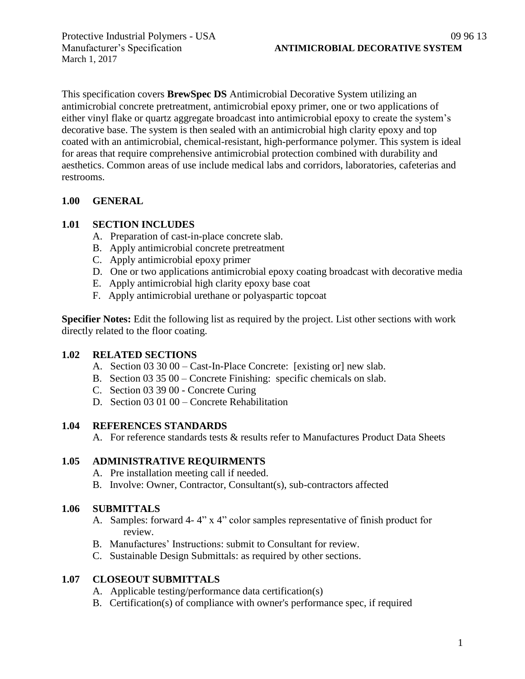March 1, 2017

This specification covers **BrewSpec DS** Antimicrobial Decorative System utilizing an antimicrobial concrete pretreatment, antimicrobial epoxy primer, one or two applications of either vinyl flake or quartz aggregate broadcast into antimicrobial epoxy to create the system's decorative base. The system is then sealed with an antimicrobial high clarity epoxy and top coated with an antimicrobial, chemical-resistant, high-performance polymer. This system is ideal for areas that require comprehensive antimicrobial protection combined with durability and aesthetics. Common areas of use include medical labs and corridors, laboratories, cafeterias and restrooms.

### **1.00 GENERAL**

### **1.01 SECTION INCLUDES**

- A. Preparation of cast-in-place concrete slab.
- B. Apply antimicrobial concrete pretreatment
- C. Apply antimicrobial epoxy primer
- D. One or two applications antimicrobial epoxy coating broadcast with decorative media
- E. Apply antimicrobial high clarity epoxy base coat
- F. Apply antimicrobial urethane or polyaspartic topcoat

**Specifier Notes:** Edit the following list as required by the project. List other sections with work directly related to the floor coating.

### **1.02 RELATED SECTIONS**

- A. Section 03 30 00 Cast-In-Place Concrete: [existing or] new slab.
- B. Section 03 35 00 Concrete Finishing: specific chemicals on slab.
- C. Section 03 39 00 Concrete Curing
- D. Section 03 01 00 Concrete Rehabilitation

### **1.04 REFERENCES STANDARDS**

A. For reference standards tests & results refer to Manufactures Product Data Sheets

### **1.05 ADMINISTRATIVE REQUIRMENTS**

- A. Pre installation meeting call if needed.
- B. Involve: Owner, Contractor, Consultant(s), sub-contractors affected

# **1.06 SUBMITTALS**

- A. Samples: forward 4- 4" x 4" color samples representative of finish product for review.
- B. Manufactures' Instructions: submit to Consultant for review.
- C. Sustainable Design Submittals: as required by other sections.

# **1.07 CLOSEOUT SUBMITTALS**

- A. Applicable testing/performance data certification(s)
- B. Certification(s) of compliance with owner's performance spec, if required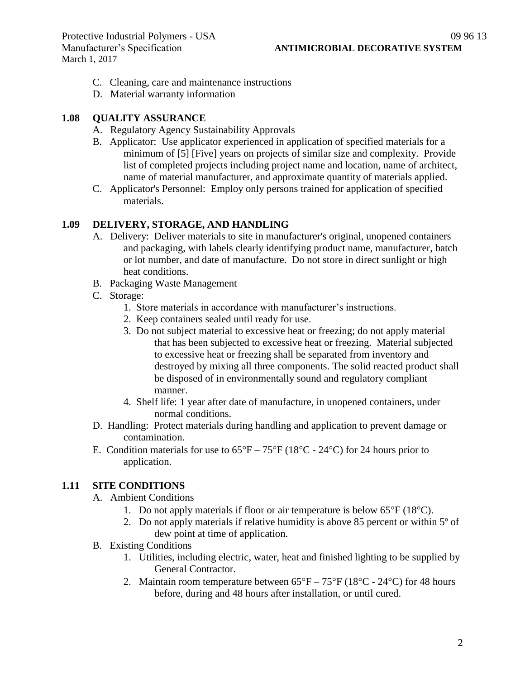- C. Cleaning, care and maintenance instructions
- D. Material warranty information

#### **1.08 QUALITY ASSURANCE**

- A. Regulatory Agency Sustainability Approvals
- B. Applicator: Use applicator experienced in application of specified materials for a minimum of [5] [Five] years on projects of similar size and complexity. Provide list of completed projects including project name and location, name of architect, name of material manufacturer, and approximate quantity of materials applied.
- C. Applicator's Personnel: Employ only persons trained for application of specified materials.

#### **1.09 DELIVERY, STORAGE, AND HANDLING**

- A. Delivery: Deliver materials to site in manufacturer's original, unopened containers and packaging, with labels clearly identifying product name, manufacturer, batch or lot number, and date of manufacture. Do not store in direct sunlight or high heat conditions.
- B. Packaging Waste Management
- C. Storage:
	- 1. Store materials in accordance with manufacturer's instructions.
	- 2. Keep containers sealed until ready for use.
	- 3. Do not subject material to excessive heat or freezing; do not apply material that has been subjected to excessive heat or freezing. Material subjected to excessive heat or freezing shall be separated from inventory and destroyed by mixing all three components. The solid reacted product shall be disposed of in environmentally sound and regulatory compliant manner.
	- 4. Shelf life: 1 year after date of manufacture, in unopened containers, under normal conditions.
- D. Handling: Protect materials during handling and application to prevent damage or contamination.
- E. Condition materials for use to  $65^{\circ}F 75^{\circ}F (18^{\circ}C 24^{\circ}C)$  for 24 hours prior to application.

### **1.11 SITE CONDITIONS**

- A. Ambient Conditions
	- 1. Do not apply materials if floor or air temperature is below  $65^{\circ}F(18^{\circ}C)$ .
	- 2. Do not apply materials if relative humidity is above 85 percent or within 5º of dew point at time of application.
- B. Existing Conditions
	- 1. Utilities, including electric, water, heat and finished lighting to be supplied by General Contractor.
	- 2. Maintain room temperature between  $65^{\circ}F 75^{\circ}F (18^{\circ}C 24^{\circ}C)$  for 48 hours before, during and 48 hours after installation, or until cured.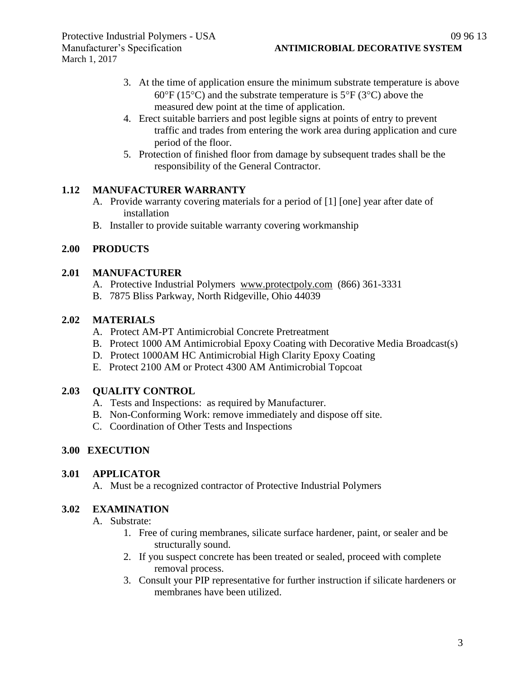- 3. At the time of application ensure the minimum substrate temperature is above 60 $\degree$ F (15 $\degree$ C) and the substrate temperature is 5 $\degree$ F (3 $\degree$ C) above the measured dew point at the time of application.
- 4. Erect suitable barriers and post legible signs at points of entry to prevent traffic and trades from entering the work area during application and cure period of the floor.
- 5. Protection of finished floor from damage by subsequent trades shall be the responsibility of the General Contractor.

## **1.12 MANUFACTURER WARRANTY**

- A. Provide warranty covering materials for a period of [1] [one] year after date of installation
- B. Installer to provide suitable warranty covering workmanship

## **2.00 PRODUCTS**

### **2.01 MANUFACTURER**

- A. Protective Industrial Polymers [www.protectpoly.com](http://www.protectpoly.com/) (866) 361-3331
- B. 7875 Bliss Parkway, North Ridgeville, Ohio 44039

### **2.02 MATERIALS**

- A. Protect AM-PT Antimicrobial Concrete Pretreatment
- B. Protect 1000 AM Antimicrobial Epoxy Coating with Decorative Media Broadcast(s)
- D. Protect 1000AM HC Antimicrobial High Clarity Epoxy Coating
- E. Protect 2100 AM or Protect 4300 AM Antimicrobial Topcoat

### **2.03 QUALITY CONTROL**

- A. Tests and Inspections: as required by Manufacturer.
- B. Non-Conforming Work: remove immediately and dispose off site.
- C. Coordination of Other Tests and Inspections

### **3.00 EXECUTION**

### **3.01 APPLICATOR**

A. Must be a recognized contractor of Protective Industrial Polymers

### **3.02 EXAMINATION**

- A. Substrate:
	- 1. Free of curing membranes, silicate surface hardener, paint, or sealer and be structurally sound.
	- 2. If you suspect concrete has been treated or sealed, proceed with complete removal process.
	- 3. Consult your PIP representative for further instruction if silicate hardeners or membranes have been utilized.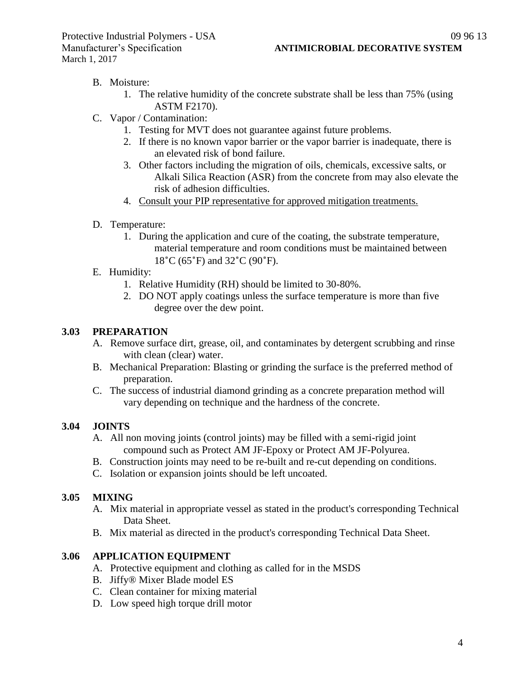## B. Moisture:

- 1. The relative humidity of the concrete substrate shall be less than 75% (using ASTM F2170).
- C. Vapor / Contamination:
	- 1. Testing for MVT does not guarantee against future problems.
	- 2. If there is no known vapor barrier or the vapor barrier is inadequate, there is an elevated risk of bond failure.
	- 3. Other factors including the migration of oils, chemicals, excessive salts, or Alkali Silica Reaction (ASR) from the concrete from may also elevate the risk of adhesion difficulties.
	- 4. Consult your PIP representative for approved mitigation treatments.
- D. Temperature:
	- 1. During the application and cure of the coating, the substrate temperature, material temperature and room conditions must be maintained between 18˚C (65˚F) and 32˚C (90˚F).
- E. Humidity:
	- 1. Relative Humidity (RH) should be limited to 30-80%.
	- 2. DO NOT apply coatings unless the surface temperature is more than five degree over the dew point.

### **3.03 PREPARATION**

- A. Remove surface dirt, grease, oil, and contaminates by detergent scrubbing and rinse with clean (clear) water.
- B. Mechanical Preparation: Blasting or grinding the surface is the preferred method of preparation.
- C. The success of industrial diamond grinding as a concrete preparation method will vary depending on technique and the hardness of the concrete.

# **3.04 JOINTS**

- A. All non moving joints (control joints) may be filled with a semi-rigid joint compound such as Protect AM JF-Epoxy or Protect AM JF-Polyurea.
- B. Construction joints may need to be re-built and re-cut depending on conditions.
- C. Isolation or expansion joints should be left uncoated.

### **3.05 MIXING**

- A. Mix material in appropriate vessel as stated in the product's corresponding Technical Data Sheet.
- B. Mix material as directed in the product's corresponding Technical Data Sheet.

### **3.06 APPLICATION EQUIPMENT**

- A. Protective equipment and clothing as called for in the MSDS
- B. Jiffy® Mixer Blade model ES
- C. Clean container for mixing material
- D. Low speed high torque drill motor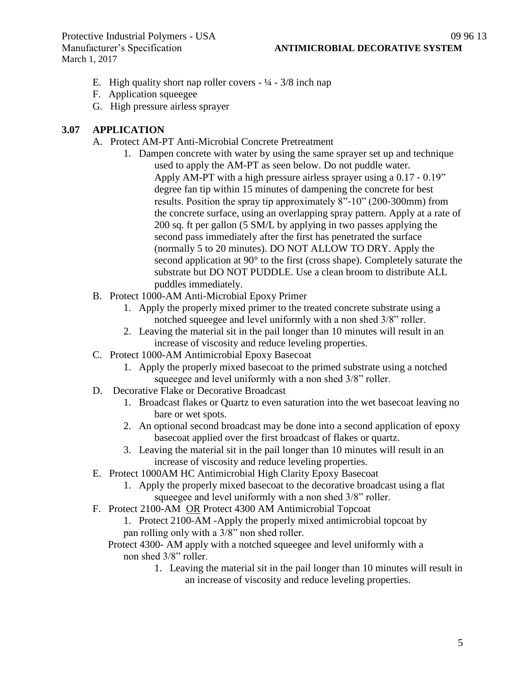- E. High quality short nap roller covers  $\frac{1}{4} \frac{3}{8}$  inch nap
- F. Application squeegee
- G. High pressure airless sprayer

#### **3.07 APPLICATION**

- A. Protect AM-PT Anti-Microbial Concrete Pretreatment
	- 1. Dampen concrete with water by using the same sprayer set up and technique used to apply the AM-PT as seen below. Do not puddle water. Apply AM-PT with a high pressure airless sprayer using a 0.17 ‐ 0.19" degree fan tip within 15 minutes of dampening the concrete for best results. Position the spray tip approximately 8"‐10" (200‐300mm) from the concrete surface, using an overlapping spray pattern. Apply at a rate of 200 sq. ft per gallon (5 SM/L by applying in two passes applying the second pass immediately after the first has penetrated the surface (normally 5 to 20 minutes). DO NOT ALLOW TO DRY. Apply the second application at 90° to the first (cross shape). Completely saturate the substrate but DO NOT PUDDLE. Use a clean broom to distribute ALL puddles immediately.
- B. Protect 1000-AM Anti-Microbial Epoxy Primer
	- 1. Apply the properly mixed primer to the treated concrete substrate using a notched squeegee and level uniformly with a non shed 3/8" roller.
	- 2. Leaving the material sit in the pail longer than 10 minutes will result in an increase of viscosity and reduce leveling properties.
- C. Protect 1000-AM Antimicrobial Epoxy Basecoat
	- 1. Apply the properly mixed basecoat to the primed substrate using a notched squeegee and level uniformly with a non shed 3/8" roller.
- D. Decorative Flake or Decorative Broadcast
	- 1. Broadcast flakes or Quartz to even saturation into the wet basecoat leaving no bare or wet spots.
	- 2. An optional second broadcast may be done into a second application of epoxy basecoat applied over the first broadcast of flakes or quartz.
	- 3. Leaving the material sit in the pail longer than 10 minutes will result in an increase of viscosity and reduce leveling properties.
- E. Protect 1000AM HC Antimicrobial High Clarity Epoxy Basecoat
	- 1. Apply the properly mixed basecoat to the decorative broadcast using a flat squeegee and level uniformly with a non shed 3/8" roller.
- F. Protect 2100-AM OR Protect 4300 AM Antimicrobial Topcoat
	- 1. Protect 2100-AM -Apply the properly mixed antimicrobial topcoat by pan rolling only with a 3/8" non shed roller.
	- Protect 4300- AM apply with a notched squeegee and level uniformly with a non shed 3/8" roller.
		- 1. Leaving the material sit in the pail longer than 10 minutes will result in an increase of viscosity and reduce leveling properties.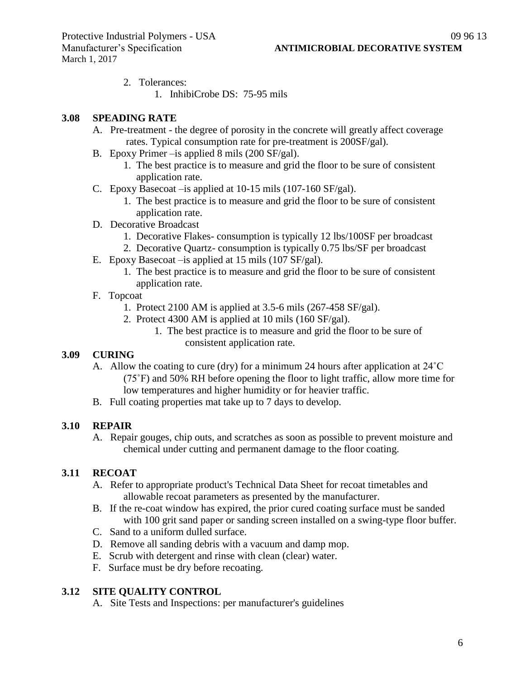- 2. Tolerances:
	- 1. InhibiCrobe DS: 75-95 mils

#### **3.08 SPEADING RATE**

- A. Pre-treatment the degree of porosity in the concrete will greatly affect coverage rates. Typical consumption rate for pre-treatment is 200SF/gal).
- B. Epoxy Primer –is applied 8 mils (200 SF/gal).
	- 1. The best practice is to measure and grid the floor to be sure of consistent application rate.
- C. Epoxy Basecoat –is applied at 10-15 mils (107-160 SF/gal).
	- 1. The best practice is to measure and grid the floor to be sure of consistent application rate.
- D. Decorative Broadcast
	- 1. Decorative Flakes- consumption is typically 12 lbs/100SF per broadcast
	- 2. Decorative Quartz- consumption is typically 0.75 lbs/SF per broadcast
- E. Epoxy Basecoat –is applied at 15 mils (107 SF/gal).
	- 1. The best practice is to measure and grid the floor to be sure of consistent application rate.
- F. Topcoat
	- 1. Protect 2100 AM is applied at 3.5-6 mils (267-458 SF/gal).
	- 2. Protect 4300 AM is applied at 10 mils (160 SF/gal).
		- 1. The best practice is to measure and grid the floor to be sure of consistent application rate.

### **3.09 CURING**

- A. Allow the coating to cure (dry) for a minimum 24 hours after application at 24˚C (75˚F) and 50% RH before opening the floor to light traffic, allow more time for low temperatures and higher humidity or for heavier traffic.
- B. Full coating properties mat take up to 7 days to develop.

### **3.10 REPAIR**

A. Repair gouges, chip outs, and scratches as soon as possible to prevent moisture and chemical under cutting and permanent damage to the floor coating.

### **3.11 RECOAT**

- A. Refer to appropriate product's Technical Data Sheet for recoat timetables and allowable recoat parameters as presented by the manufacturer.
- B. If the re-coat window has expired, the prior cured coating surface must be sanded with 100 grit sand paper or sanding screen installed on a swing-type floor buffer.
- C. Sand to a uniform dulled surface.
- D. Remove all sanding debris with a vacuum and damp mop.
- E. Scrub with detergent and rinse with clean (clear) water.
- F. Surface must be dry before recoating.

### **3.12 SITE QUALITY CONTROL**

A. Site Tests and Inspections: per manufacturer's guidelines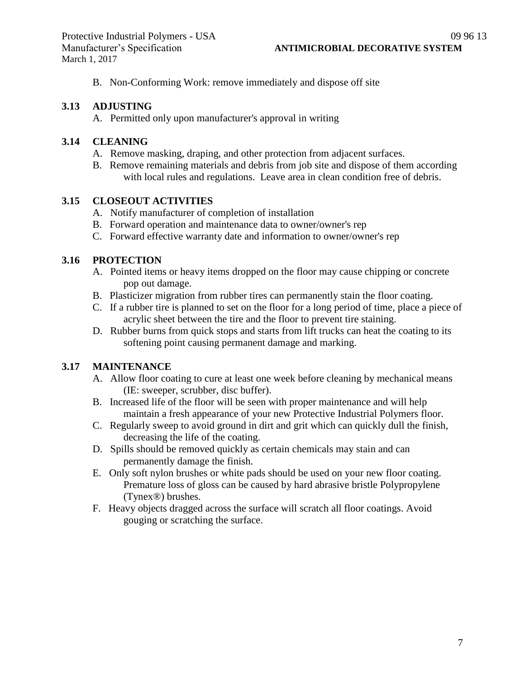B. Non-Conforming Work: remove immediately and dispose off site

#### **3.13 ADJUSTING**

A. Permitted only upon manufacturer's approval in writing

#### **3.14 CLEANING**

- A. Remove masking, draping, and other protection from adjacent surfaces.
- B. Remove remaining materials and debris from job site and dispose of them according with local rules and regulations. Leave area in clean condition free of debris.

#### **3.15 CLOSEOUT ACTIVITIES**

- A. Notify manufacturer of completion of installation
- B. Forward operation and maintenance data to owner/owner's rep
- C. Forward effective warranty date and information to owner/owner's rep

#### **3.16 PROTECTION**

- A. Pointed items or heavy items dropped on the floor may cause chipping or concrete pop out damage.
- B. Plasticizer migration from rubber tires can permanently stain the floor coating.
- C. If a rubber tire is planned to set on the floor for a long period of time, place a piece of acrylic sheet between the tire and the floor to prevent tire staining.
- D. Rubber burns from quick stops and starts from lift trucks can heat the coating to its softening point causing permanent damage and marking.

### **3.17 MAINTENANCE**

- A. Allow floor coating to cure at least one week before cleaning by mechanical means (IE: sweeper, scrubber, disc buffer).
- B. Increased life of the floor will be seen with proper maintenance and will help maintain a fresh appearance of your new Protective Industrial Polymers floor.
- C. Regularly sweep to avoid ground in dirt and grit which can quickly dull the finish, decreasing the life of the coating.
- D. Spills should be removed quickly as certain chemicals may stain and can permanently damage the finish.
- E. Only soft nylon brushes or white pads should be used on your new floor coating. Premature loss of gloss can be caused by hard abrasive bristle Polypropylene (Tynex®) brushes.
- F. Heavy objects dragged across the surface will scratch all floor coatings. Avoid gouging or scratching the surface.